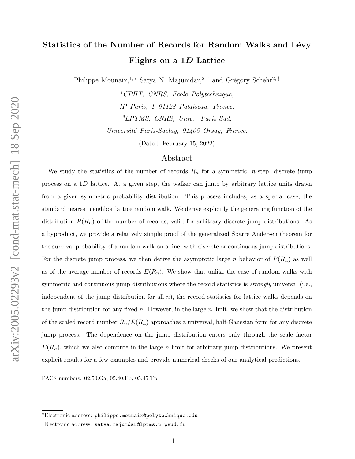# Statistics of the Number of Records for Random Walks and Lévy Flights on a 1D Lattice

Philippe Mounaix,<sup>1, ∗</sup> Satya N. Majumdar,<sup>2,†</sup> and Grégory Schehr<sup>2,‡</sup>

<sup>1</sup>CPHT, CNRS, Ecole Polytechnique, IP Paris, F-91128 Palaiseau, France. <sup>2</sup>LPTMS, CNRS, Univ. Paris-Sud, Université Paris-Saclay, 91405 Orsay, France.

(Dated: February 15, 2022)

# Abstract

We study the statistics of the number of records  $R_n$  for a symmetric, *n*-step, discrete jump process on a 1D lattice. At a given step, the walker can jump by arbitrary lattice units drawn from a given symmetric probability distribution. This process includes, as a special case, the standard nearest neighbor lattice random walk. We derive explicitly the generating function of the distribution  $P(R_n)$  of the number of records, valid for arbitrary discrete jump distributions. As a byproduct, we provide a relatively simple proof of the generalized Sparre Andersen theorem for the survival probability of a random walk on a line, with discrete or continuous jump distributions. For the discrete jump process, we then derive the asymptotic large n behavior of  $P(R_n)$  as well as of the average number of records  $E(R_n)$ . We show that unlike the case of random walks with symmetric and continuous jump distributions where the record statistics is *strongly* universal (i.e., independent of the jump distribution for all  $n$ ), the record statistics for lattice walks depends on the jump distribution for any fixed n. However, in the large n limit, we show that the distribution of the scaled record number  $R_n/E(R_n)$  approaches a universal, half-Gaussian form for any discrete jump process. The dependence on the jump distribution enters only through the scale factor  $E(R_n)$ , which we also compute in the large n limit for arbitrary jump distributions. We present explicit results for a few examples and provide numerical checks of our analytical predictions.

PACS numbers: 02.50.Ga, 05.40.Fb, 05.45.Tp

<sup>∗</sup>Electronic address: philippe.mounaix@polytechnique.edu

<sup>†</sup>Electronic address: satya.majumdar@lptms.u-psud.fr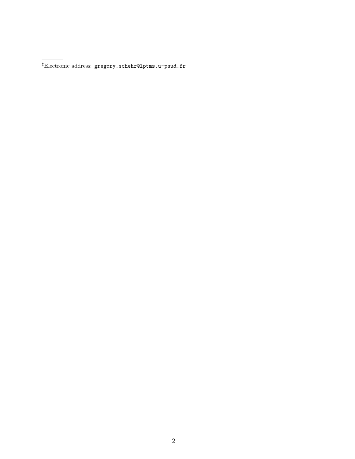<sup>‡</sup>Electronic address: gregory.schehr@lptms.u-psud.fr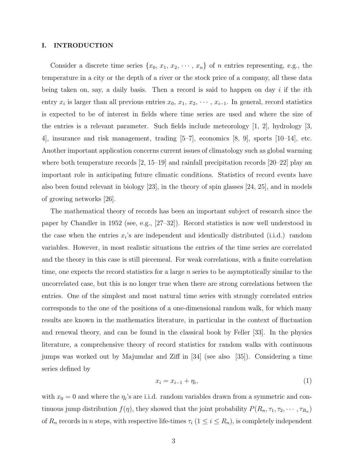# I. INTRODUCTION

Consider a discrete time series  $\{x_0, x_1, x_2, \cdots, x_n\}$  of n entries representing, e.g., the temperature in a city or the depth of a river or the stock price of a company, all these data being taken on, say, a daily basis. Then a record is said to happen on day i if the ith entry  $x_i$  is larger than all previous entries  $x_0, x_1, x_2, \cdots, x_{i-1}$ . In general, record statistics is expected to be of interest in fields where time series are used and where the size of the entries is a relevant parameter. Such fields include meteorology [1, 2], hydrology [3, 4], insurance and risk management, trading [5–7], economics [8, 9], sports [10–14], etc. Another important application concerns current issues of climatology such as global warming where both temperature records  $[2, 15-19]$  and rainfall precipitation records  $[20-22]$  play an important role in anticipating future climatic conditions. Statistics of record events have also been found relevant in biology [23], in the theory of spin glasses [24, 25], and in models of growing networks [26].

The mathematical theory of records has been an important subject of research since the paper by Chandler in 1952 (see, e.g., [27–32]). Record statistics is now well understood in the case when the entries  $x_i$ 's are independent and identically distributed (i.i.d.) random variables. However, in most realistic situations the entries of the time series are correlated and the theory in this case is still piecemeal. For weak correlations, with a finite correlation time, one expects the record statistics for a large  $n$  series to be asymptotically similar to the uncorrelated case, but this is no longer true when there are strong correlations between the entries. One of the simplest and most natural time series with strongly correlated entries corresponds to the one of the positions of a one-dimensional random walk, for which many results are known in the mathematics literature, in particular in the context of fluctuation and renewal theory, and can be found in the classical book by Feller [33]. In the physics literature, a comprehensive theory of record statistics for random walks with continuous jumps was worked out by Majumdar and Ziff in [34] (see also [35]). Considering a time series defined by

$$
x_i = x_{i-1} + \eta_i,\tag{1}
$$

with  $x_0 = 0$  and where the  $\eta_i$ 's are i.i.d. random variables drawn from a symmetric and continuous jump distribution  $f(\eta)$ , they showed that the joint probability  $P(R_n, \tau_1, \tau_2, \dots, \tau_{R_n})$ of  $R_n$  records in n steps, with respective life-times  $\tau_i$  ( $1 \leq i \leq R_n$ ), is completely independent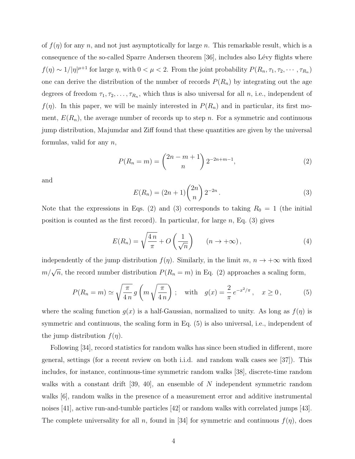of  $f(\eta)$  for any n, and not just asymptotically for large n. This remarkable result, which is a consequence of the so-called Sparre Andersen theorem [36], includes also Lévy flights where  $f(\eta) \sim 1/|\eta|^{\mu+1}$  for large  $\eta$ , with  $0 < \mu < 2$ . From the joint probability  $P(R_n, \tau_1, \tau_2, \dots, \tau_{R_n})$ one can derive the distribution of the number of records  $P(R_n)$  by integrating out the age degrees of freedom  $\tau_1, \tau_2, \ldots, \tau_{R_n}$ , which thus is also universal for all n, i.e., independent of  $f(\eta)$ . In this paper, we will be mainly interested in  $P(R_n)$  and in particular, its first moment,  $E(R_n)$ , the average number of records up to step n. For a symmetric and continuous jump distribution, Majumdar and Ziff found that these quantities are given by the universal formulas, valid for any  $n$ ,

$$
P(R_n = m) = \binom{2n - m + 1}{n} 2^{-2n + m - 1},
$$
\n(2)

and

$$
E(R_n) = (2n+1) \binom{2n}{n} 2^{-2n} . \tag{3}
$$

Note that the expressions in Eqs. (2) and (3) corresponds to taking  $R_0 = 1$  (the initial position is counted as the first record). In particular, for large  $n$ , Eq. (3) gives

$$
E(R_n) = \sqrt{\frac{4n}{\pi}} + O\left(\frac{1}{\sqrt{n}}\right) \qquad (n \to +\infty),
$$
 (4)

independently of the jump distribution  $f(\eta)$ . Similarly, in the limit  $m, n \to +\infty$  with fixed  $m/\sqrt{n}$ , the record number distribution  $P(R_n = m)$  in Eq. (2) approaches a scaling form,

$$
P(R_n = m) \simeq \sqrt{\frac{\pi}{4n}} g\left(m\sqrt{\frac{\pi}{4n}}\right); \quad \text{with} \quad g(x) = \frac{2}{\pi} e^{-x^2/\pi}, \quad x \ge 0,
$$
 (5)

where the scaling function  $g(x)$  is a half-Gaussian, normalized to unity. As long as  $f(\eta)$  is symmetric and continuous, the scaling form in Eq. (5) is also universal, i.e., independent of the jump distribution  $f(\eta)$ .

Following [34], record statistics for random walks has since been studied in different, more general, settings (for a recent review on both i.i.d. and random walk cases see [37]). This includes, for instance, continuous-time symmetric random walks [38], discrete-time random walks with a constant drift [39, 40], an ensemble of  $N$  independent symmetric random walks  $[6]$ , random walks in the presence of a measurement error and additive instrumental noises [41], active run-and-tumble particles [42] or random walks with correlated jumps [43]. The complete universality for all n, found in [34] for symmetric and continuous  $f(\eta)$ , does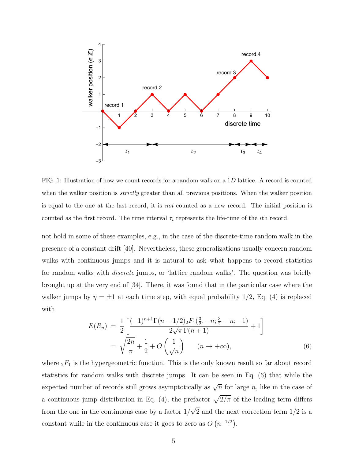

FIG. 1: Illustration of how we count records for a random walk on a 1D lattice. A record is counted when the walker position is *strictly* greater than all previous positions. When the walker position is equal to the one at the last record, it is not counted as a new record. The initial position is counted as the first record. The time interval  $\tau_i$  represents the life-time of the *i*th record.

not hold in some of these examples, e.g., in the case of the discrete-time random walk in the presence of a constant drift [40]. Nevertheless, these generalizations usually concern random walks with continuous jumps and it is natural to ask what happens to record statistics for random walks with discrete jumps, or 'lattice random walks'. The question was briefly brought up at the very end of [34]. There, it was found that in the particular case where the walker jumps by  $\eta = \pm 1$  at each time step, with equal probability 1/2, Eq. (4) is replaced with

$$
E(R_n) = \frac{1}{2} \left[ \frac{(-1)^{n+1} \Gamma(n - 1/2) \, 2F_1(\frac{3}{2}, -n; \frac{3}{2} - n; -1)}{2\sqrt{\pi} \, \Gamma(n+1)} + 1 \right]
$$
\n
$$
= \sqrt{\frac{2n}{\pi}} + \frac{1}{2} + O\left(\frac{1}{\sqrt{n}}\right) \quad (n \to +\infty), \tag{6}
$$

where  ${}_2F_1$  is the hypergeometric function. This is the only known result so far about record statistics for random walks with discrete jumps. It can be seen in Eq. (6) that while the expected number of records still grows asymptotically as  $\sqrt{n}$  for large n, like in the case of a continuous jump distribution in Eq. (4), the prefactor  $\sqrt{2/\pi}$  of the leading term differs from the one in the continuous case by a factor  $1/\sqrt{2}$  and the next correction term  $1/2$  is a constant while in the continuous case it goes to zero as  $O(n^{-1/2})$ .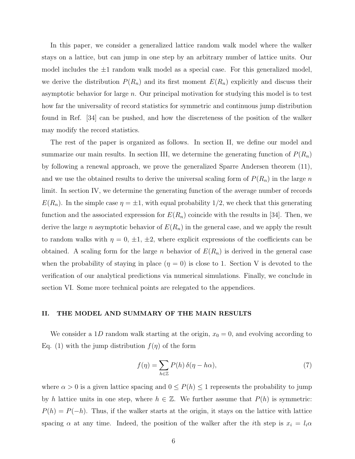In this paper, we consider a generalized lattice random walk model where the walker stays on a lattice, but can jump in one step by an arbitrary number of lattice units. Our model includes the  $\pm 1$  random walk model as a special case. For this generalized model, we derive the distribution  $P(R_n)$  and its first moment  $E(R_n)$  explicitly and discuss their asymptotic behavior for large n. Our principal motivation for studying this model is to test how far the universality of record statistics for symmetric and continuous jump distribution found in Ref. [34] can be pushed, and how the discreteness of the position of the walker may modify the record statistics.

The rest of the paper is organized as follows. In section II, we define our model and summarize our main results. In section III, we determine the generating function of  $P(R_n)$ by following a renewal approach, we prove the generalized Sparre Andersen theorem (11), and we use the obtained results to derive the universal scaling form of  $P(R_n)$  in the large n limit. In section IV, we determine the generating function of the average number of records  $E(R_n)$ . In the simple case  $\eta = \pm 1$ , with equal probability 1/2, we check that this generating function and the associated expression for  $E(R_n)$  coincide with the results in [34]. Then, we derive the large n asymptotic behavior of  $E(R_n)$  in the general case, and we apply the result to random walks with  $\eta = 0, \pm 1, \pm 2$ , where explicit expressions of the coefficients can be obtained. A scaling form for the large *n* behavior of  $E(R_n)$  is derived in the general case when the probability of staying in place  $(\eta = 0)$  is close to 1. Section V is devoted to the verification of our analytical predictions via numerical simulations. Finally, we conclude in section VI. Some more technical points are relegated to the appendices.

## II. THE MODEL AND SUMMARY OF THE MAIN RESULTS

We consider a 1D random walk starting at the origin,  $x_0 = 0$ , and evolving according to Eq. (1) with the jump distribution  $f(\eta)$  of the form

$$
f(\eta) = \sum_{h \in \mathbb{Z}} P(h) \,\delta(\eta - h\alpha),\tag{7}
$$

where  $\alpha > 0$  is a given lattice spacing and  $0 \le P(h) \le 1$  represents the probability to jump by h lattice units in one step, where  $h \in \mathbb{Z}$ . We further assume that  $P(h)$  is symmetric:  $P(h) = P(-h)$ . Thus, if the walker starts at the origin, it stays on the lattice with lattice spacing  $\alpha$  at any time. Indeed, the position of the walker after the *i*th step is  $x_i = l_i \alpha$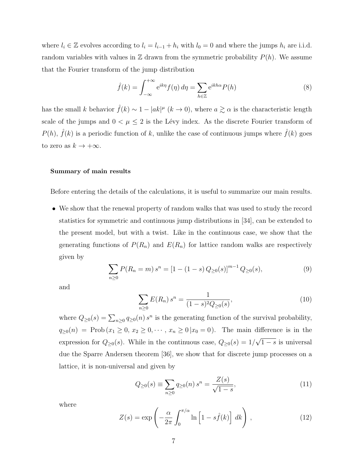where  $l_i \in \mathbb{Z}$  evolves according to  $l_i = l_{i-1} + h_i$  with  $l_0 = 0$  and where the jumps  $h_i$  are i.i.d. random variables with values in  $\mathbb Z$  drawn from the symmetric probability  $P(h)$ . We assume that the Fourier transform of the jump distribution

$$
\hat{f}(k) = \int_{-\infty}^{+\infty} e^{ik\eta} f(\eta) d\eta = \sum_{h \in \mathbb{Z}} e^{ikh\alpha} P(h)
$$
\n(8)

has the small k behavior  $\hat{f}(k) \sim 1 - |ak|^\mu$   $(k \to 0)$ , where  $a \gtrsim \alpha$  is the characteristic length scale of the jumps and  $0 < \mu \leq 2$  is the Lévy index. As the discrete Fourier transform of  $P(h)$ ,  $\tilde{f}(k)$  is a periodic function of k, unlike the case of continuous jumps where  $\hat{f}(k)$  goes to zero as  $k\to +\infty.$ 

# Summary of main results

Before entering the details of the calculations, it is useful to summarize our main results.

• We show that the renewal property of random walks that was used to study the record statistics for symmetric and continuous jump distributions in [34], can be extended to the present model, but with a twist. Like in the continuous case, we show that the generating functions of  $P(R_n)$  and  $E(R_n)$  for lattice random walks are respectively given by

$$
\sum_{n\geq 0} P(R_n = m) s^n = [1 - (1 - s) Q_{\geq 0}(s)]^{m-1} Q_{\geq 0}(s),
$$
\n(9)

and

$$
\sum_{n\geq 0} E(R_n) s^n = \frac{1}{(1-s)^2 Q_{\geq 0}(s)},\tag{10}
$$

where  $Q_{\geq 0}(s) = \sum_{n\geq 0} q_{\geq 0}(n) s^n$  is the generating function of the survival probability,  $q_{\geq 0}(n) = \text{Prob}(x_1 \geq 0, x_2 \geq 0, \dots, x_n \geq 0 | x_0 = 0).$  The main difference is in the expression for  $Q_{\geq 0}(s)$ . While in the continuous case,  $Q_{\geq 0}(s) = 1/\sqrt{1-s}$  is universal due the Sparre Andersen theorem [36], we show that for discrete jump processes on a lattice, it is non-universal and given by

$$
Q_{\geq 0}(s) \equiv \sum_{n\geq 0} q_{\geq 0}(n) s^n = \frac{Z(s)}{\sqrt{1-s}},
$$
\n(11)

where

$$
Z(s) = \exp\left(-\frac{\alpha}{2\pi} \int_0^{\pi/\alpha} \ln\left[1 - s\hat{f}(k)\right] dk\right),\tag{12}
$$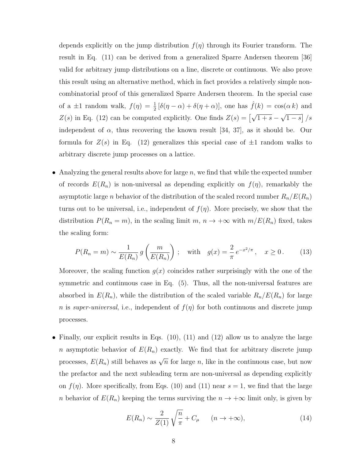depends explicitly on the jump distribution  $f(\eta)$  through its Fourier transform. The result in Eq. (11) can be derived from a generalized Sparre Andersen theorem [36] valid for arbitrary jump distributions on a line, discrete or continuous. We also prove this result using an alternative method, which in fact provides a relatively simple noncombinatorial proof of this generalized Sparre Andersen theorem. In the special case of a  $\pm 1$  random walk,  $f(\eta) = \frac{1}{2} [\delta(\eta - \alpha) + \delta(\eta + \alpha)]$ , one has  $\hat{f}(k) = \cos(\alpha k)$  and  $Z(s)$  in Eq. (12) can be computed explicitly. One finds  $Z(s) = \left[\sqrt{1+s} - \sqrt{1-s}\right] / s$ independent of  $\alpha$ , thus recovering the known result [34, 37], as it should be. Our formula for  $Z(s)$  in Eq. (12) generalizes this special case of  $\pm 1$  random walks to arbitrary discrete jump processes on a lattice.

• Analyzing the general results above for large  $n$ , we find that while the expected number of records  $E(R_n)$  is non-universal as depending explicitly on  $f(\eta)$ , remarkably the asymptotic large *n* behavior of the distribution of the scaled record number  $R_n/E(R_n)$ turns out to be universal, i.e., independent of  $f(\eta)$ . More precisely, we show that the distribution  $P(R_n = m)$ , in the scaling limit  $m, n \to +\infty$  with  $m/E(R_n)$  fixed, takes the scaling form:

$$
P(R_n = m) \sim \frac{1}{E(R_n)} g\left(\frac{m}{E(R_n)}\right) ; \quad \text{with} \quad g(x) = \frac{2}{\pi} e^{-x^2/\pi}, \quad x \ge 0. \tag{13}
$$

Moreover, the scaling function  $g(x)$  coincides rather surprisingly with the one of the symmetric and continuous case in Eq. (5). Thus, all the non-universal features are absorbed in  $E(R_n)$ , while the distribution of the scaled variable  $R_n/E(R_n)$  for large n is super-universal, i.e., independent of  $f(\eta)$  for both continuous and discrete jump processes.

• Finally, our explicit results in Eqs.  $(10)$ ,  $(11)$  and  $(12)$  allow us to analyze the large n asymptotic behavior of  $E(R_n)$  exactly. We find that for arbitrary discrete jump processes,  $E(R_n)$  still behaves as  $\sqrt{n}$  for large n, like in the continuous case, but now the prefactor and the next subleading term are non-universal as depending explicitly on  $f(\eta)$ . More specifically, from Eqs. (10) and (11) near  $s = 1$ , we find that the large n behavior of  $E(R_n)$  keeping the terms surviving the  $n \to +\infty$  limit only, is given by

$$
E(R_n) \sim \frac{2}{Z(1)} \sqrt{\frac{n}{\pi}} + C_\mu \qquad (n \to +\infty),
$$
 (14)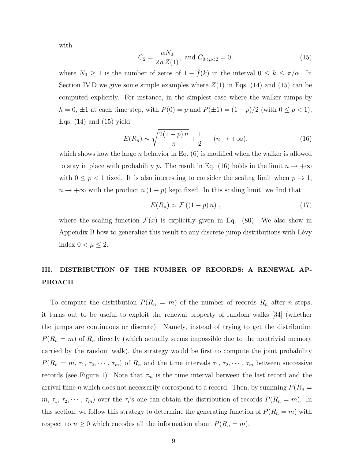with

$$
C_2 = \frac{\alpha N_0}{2 a Z(1)}, \text{ and } C_{0<\mu<2} = 0,
$$
\n(15)

where  $N_0 \geq 1$  is the number of zeros of  $1 - \hat{f}(k)$  in the interval  $0 \leq k \leq \pi/\alpha$ . In Section IV D we give some simple examples where  $Z(1)$  in Eqs. (14) and (15) can be computed explicitly. For instance, in the simplest case where the walker jumps by  $h = 0, \pm 1$  at each time step, with  $P(0) = p$  and  $P(\pm 1) = (1 - p)/2$  (with  $0 \le p < 1$ ), Eqs.  $(14)$  and  $(15)$  yield

$$
E(R_n) \sim \sqrt{\frac{2(1-p)\,n}{\pi}} + \frac{1}{2} \qquad (n \to +\infty),\tag{16}
$$

which shows how the large n behavior in Eq.  $(6)$  is modified when the walker is allowed to stay in place with probability p. The result in Eq. (16) holds in the limit  $n \to +\infty$ with  $0 \leq p < 1$  fixed. It is also interesting to consider the scaling limit when  $p \to 1$ ,  $n \to +\infty$  with the product  $n(1-p)$  kept fixed. In this scaling limit, we find that

$$
E(R_n) \simeq \mathcal{F}((1-p)n) \;, \tag{17}
$$

where the scaling function  $\mathcal{F}(x)$  is explicitly given in Eq. (80). We also show in Appendix B how to generalize this result to any discrete jump distributions with Lévy index  $0 < \mu \leq 2$ .

# III. DISTRIBUTION OF THE NUMBER OF RECORDS: A RENEWAL AP-PROACH

To compute the distribution  $P(R_n = m)$  of the number of records  $R_n$  after n steps, it turns out to be useful to exploit the renewal property of random walks [34] (whether the jumps are continuous or discrete). Namely, instead of trying to get the distribution  $P(R_n = m)$  of  $R_n$  directly (which actually seems impossible due to the nontrivial memory carried by the random walk), the strategy would be first to compute the joint probability  $P(R_n = m, \tau_1, \tau_2, \dots, \tau_m)$  of  $R_n$  and the time intervals  $\tau_1, \tau_2, \dots, \tau_m$  between successive records (see Figure 1). Note that  $\tau_m$  is the time interval between the last record and the arrival time n which does not necessarily correspond to a record. Then, by summing  $P(R_n =$  $m, \tau_1, \tau_2, \cdots, \tau_m$  over the  $\tau_i$ 's one can obtain the distribution of records  $P(R_n = m)$ . In this section, we follow this strategy to determine the generating function of  $P(R_n = m)$  with respect to  $n \geq 0$  which encodes all the information about  $P(R_n = m)$ .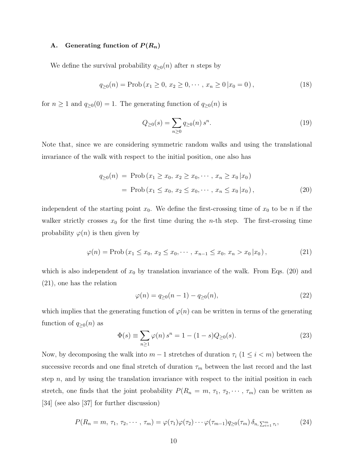# A. Generating function of  $P(R_n)$

We define the survival probability  $q_{\geq 0}(n)$  after *n* steps by

$$
q_{\geq 0}(n) = \text{Prob}\left(x_1 \geq 0, \, x_2 \geq 0, \cdots, \, x_n \geq 0 \, | x_0 = 0\right),\tag{18}
$$

for  $n \ge 1$  and  $q_{\ge 0}(0) = 1$ . The generating function of  $q_{\ge 0}(n)$  is

$$
Q_{\geq 0}(s) = \sum_{n \geq 0} q_{\geq 0}(n) s^n.
$$
 (19)

Note that, since we are considering symmetric random walks and using the translational invariance of the walk with respect to the initial position, one also has

$$
q_{\geq 0}(n) = \text{Prob}(x_1 \geq x_0, x_2 \geq x_0, \cdots, x_n \geq x_0 | x_0)
$$
  
= \text{Prob}(x\_1 \leq x\_0, x\_2 \leq x\_0, \cdots, x\_n \leq x\_0 | x\_0), \qquad (20)

independent of the starting point  $x_0$ . We define the first-crossing time of  $x_0$  to be n if the walker strictly crosses  $x_0$  for the first time during the *n*-th step. The first-crossing time probability  $\varphi(n)$  is then given by

$$
\varphi(n) = \text{Prob}\left(x_1 \le x_0, \, x_2 \le x_0, \, \cdots, \, x_{n-1} \le x_0, \, x_n > x_0 \, | x_0\right),\tag{21}
$$

which is also independent of  $x_0$  by translation invariance of the walk. From Eqs. (20) and (21), one has the relation

$$
\varphi(n) = q_{\geq 0}(n-1) - q_{\geq 0}(n),\tag{22}
$$

which implies that the generating function of  $\varphi(n)$  can be written in terms of the generating function of  $q_{\geq 0}(n)$  as

$$
\Phi(s) \equiv \sum_{n\geq 1} \varphi(n) s^n = 1 - (1 - s) Q_{\geq 0}(s).
$$
\n(23)

Now, by decomposing the walk into  $m-1$  stretches of duration  $\tau_i$  ( $1 \leq i \leq m$ ) between the successive records and one final stretch of duration  $\tau_m$  between the last record and the last step  $n$ , and by using the translation invariance with respect to the initial position in each stretch, one finds that the joint probability  $P(R_n = m, \tau_1, \tau_2, \dots, \tau_m)$  can be written as [34] (see also [37] for further discussion)

$$
P(R_n = m, \tau_1, \tau_2, \cdots, \tau_m) = \varphi(\tau_1)\varphi(\tau_2)\cdots\varphi(\tau_{m-1})q_{\geq 0}(\tau_m)\,\delta_{n,\sum_{i=1}^m \tau_i},\tag{24}
$$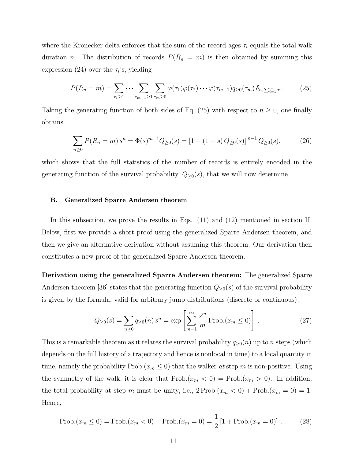where the Kronecker delta enforces that the sum of the record ages  $\tau_i$  equals the total walk duration n. The distribution of records  $P(R_n = m)$  is then obtained by summing this expression (24) over the  $\tau_i$ 's, yielding

$$
P(R_n = m) = \sum_{\tau_1 \ge 1} \cdots \sum_{\tau_{m-1} \ge 1} \sum_{\tau_m \ge 0} \varphi(\tau_1) \varphi(\tau_2) \cdots \varphi(\tau_{m-1}) q_{\ge 0}(\tau_m) \, \delta_{n, \sum_{i=1}^m \tau_i}.
$$
 (25)

Taking the generating function of both sides of Eq. (25) with respect to  $n \geq 0$ , one finally obtains

$$
\sum_{n\geq 0} P(R_n = m) s^n = \Phi(s)^{m-1} Q_{\geq 0}(s) = [1 - (1 - s) Q_{\geq 0}(s)]^{m-1} Q_{\geq 0}(s),
$$
 (26)

which shows that the full statistics of the number of records is entirely encoded in the generating function of the survival probability,  $Q_{\geq 0}(s)$ , that we will now determine.

# B. Generalized Sparre Andersen theorem

In this subsection, we prove the results in Eqs. (11) and (12) mentioned in section II. Below, first we provide a short proof using the generalized Sparre Andersen theorem, and then we give an alternative derivation without assuming this theorem. Our derivation then constitutes a new proof of the generalized Sparre Andersen theorem.

Derivation using the generalized Sparre Andersen theorem: The generalized Sparre Andersen theorem [36] states that the generating function  $Q_{\geq 0}(s)$  of the survival probability is given by the formula, valid for arbitrary jump distributions (discrete or continuous),

$$
Q_{\geq 0}(s) = \sum_{n\geq 0} q_{\geq 0}(n) s^n = \exp\left[\sum_{m=1}^{\infty} \frac{s^m}{m} \operatorname{Prob}_{\cdot}(x_m \leq 0)\right].
$$
 (27)

This is a remarkable theorem as it relates the survival probability  $q_{\geq 0}(n)$  up to n steps (which depends on the full history of a trajectory and hence is nonlocal in time) to a local quantity in time, namely the probability Prob. $(x_m \leq 0)$  that the walker at step m is non-positive. Using the symmetry of the walk, it is clear that  $Prob(x_m < 0) = Prob(x_m > 0)$ . In addition, the total probability at step m must be unity, i.e.,  $2 \text{Prob.}(x_m < 0) + \text{Prob.}(x_m = 0) = 1$ . Hence,

$$
Prob.(x_m \le 0) = Prob.(x_m < 0) + Prob.(x_m = 0) = \frac{1}{2} \left[ 1 + Prob.(x_m = 0) \right]. \tag{28}
$$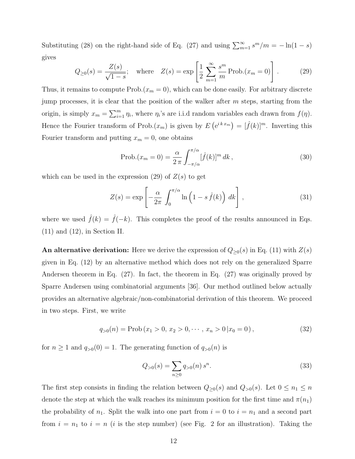Substituting (28) on the right-hand side of Eq. (27) and using  $\sum_{m=1}^{\infty} s^m/m = -\ln(1-s)$ gives

$$
Q_{\geq 0}(s) = \frac{Z(s)}{\sqrt{1-s}}
$$
; where  $Z(s) = \exp\left[\frac{1}{2}\sum_{m=1}^{\infty}\frac{s^m}{m}\text{Prob.}(x_m = 0)\right]$ . (29)

Thus, it remains to compute  $Prob(x_m = 0)$ , which can be done easily. For arbitrary discrete jump processes, it is clear that the position of the walker after  $m$  steps, starting from the origin, is simply  $x_m = \sum_{i=1}^m \eta_i$ , where  $\eta_i$ 's are i.i.d random variables each drawn from  $f(\eta)$ . Hence the Fourier transform of Prob. $(x_m)$  is given by  $E(e^{ikx_m}) = [\hat{f}(k)]^m$ . Inverting this Fourier transform and putting  $x_m = 0$ , one obtains

$$
\text{Prob.}(x_m = 0) = \frac{\alpha}{2\pi} \int_{-\pi/\alpha}^{\pi/\alpha} [\hat{f}(k)]^m dk , \qquad (30)
$$

which can be used in the expression  $(29)$  of  $Z(s)$  to get

$$
Z(s) = \exp\left[-\frac{\alpha}{2\pi} \int_0^{\pi/\alpha} \ln\left(1 - s \hat{f}(k)\right) dk\right],
$$
\n(31)

where we used  $\hat{f}(k) = \hat{f}(-k)$ . This completes the proof of the results announced in Eqs. (11) and (12), in Section II.

An alternative derivation: Here we derive the expression of  $Q_{\geq 0}(s)$  in Eq. (11) with  $Z(s)$ given in Eq. (12) by an alternative method which does not rely on the generalized Sparre Andersen theorem in Eq. (27). In fact, the theorem in Eq. (27) was originally proved by Sparre Andersen using combinatorial arguments [36]. Our method outlined below actually provides an alternative algebraic/non-combinatorial derivation of this theorem. We proceed in two steps. First, we write

$$
q_{>0}(n) = \text{Prob}(x_1 > 0, x_2 > 0, \cdots, x_n > 0 | x_0 = 0), \qquad (32)
$$

for  $n \ge 1$  and  $q_{>0}(0) = 1$ . The generating function of  $q_{>0}(n)$  is

$$
Q_{>0}(s) = \sum_{n\geq 0} q_{>0}(n) s^n.
$$
\n(33)

The first step consists in finding the relation between  $Q_{\geq 0}(s)$  and  $Q_{>0}(s)$ . Let  $0 \leq n_1 \leq n$ denote the step at which the walk reaches its minimum position for the first time and  $\pi(n_1)$ the probability of  $n_1$ . Split the walk into one part from  $i = 0$  to  $i = n_1$  and a second part from  $i = n_1$  to  $i = n$  (i is the step number) (see Fig. 2 for an illustration). Taking the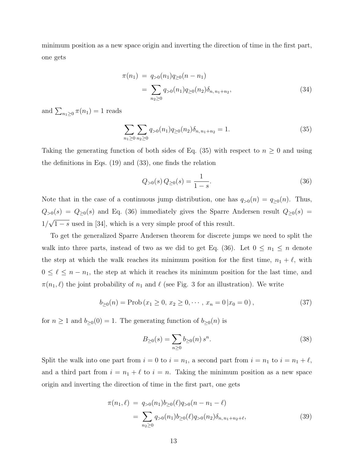minimum position as a new space origin and inverting the direction of time in the first part, one gets

$$
\pi(n_1) = q_{>0}(n_1)q_{\geq 0}(n - n_1)
$$
  
= 
$$
\sum_{n_2 \geq 0} q_{>0}(n_1)q_{\geq 0}(n_2)\delta_{n, n_1 + n_2},
$$
 (34)

and  $\sum_{n_1\geq 0} \pi(n_1) = 1$  reads

$$
\sum_{n_1 \ge 0} \sum_{n_2 \ge 0} q_{>0}(n_1) q_{\ge 0}(n_2) \delta_{n, n_1 + n_2} = 1.
$$
 (35)

Taking the generating function of both sides of Eq. (35) with respect to  $n \geq 0$  and using the definitions in Eqs. (19) and (33), one finds the relation

$$
Q_{>0}(s) Q_{\geq 0}(s) = \frac{1}{1-s}.\tag{36}
$$

Note that in the case of a continuous jump distribution, one has  $q_{>0}(n) = q_{\geq 0}(n)$ . Thus,  $Q_{>0}(s) = Q_{\geq 0}(s)$  and Eq. (36) immediately gives the Sparre Andersen result  $Q_{\geq 0}(s)$  =  $1/\sqrt{1-s}$  used in [34], which is a very simple proof of this result.

To get the generalized Sparre Andersen theorem for discrete jumps we need to split the walk into three parts, instead of two as we did to get Eq. (36). Let  $0 \leq n_1 \leq n$  denote the step at which the walk reaches its minimum position for the first time,  $n_1 + \ell$ , with  $0 \leq \ell \leq n - n_1$ , the step at which it reaches its minimum position for the last time, and  $\pi(n_1, \ell)$  the joint probability of  $n_1$  and  $\ell$  (see Fig. 3 for an illustration). We write

$$
b_{\geq 0}(n) = \text{Prob}\left(x_1 \geq 0, \, x_2 \geq 0, \cdots, \, x_n = 0 \, | x_0 = 0\right),\tag{37}
$$

for  $n \geq 1$  and  $b_{\geq 0}(0) = 1$ . The generating function of  $b_{\geq 0}(n)$  is

$$
B_{\geq 0}(s) = \sum_{n\geq 0} b_{\geq 0}(n) s^n.
$$
 (38)

Split the walk into one part from  $i = 0$  to  $i = n_1$ , a second part from  $i = n_1$  to  $i = n_1 + \ell$ , and a third part from  $i = n_1 + \ell$  to  $i = n$ . Taking the minimum position as a new space origin and inverting the direction of time in the first part, one gets

$$
\pi(n_1, \ell) = q_{>0}(n_1)b_{\geq 0}(\ell)q_{>0}(n - n_1 - \ell)
$$
  
= 
$$
\sum_{n_2 \geq 0} q_{>0}(n_1)b_{\geq 0}(\ell)q_{>0}(n_2)\delta_{n, n_1 + n_2 + \ell},
$$
 (39)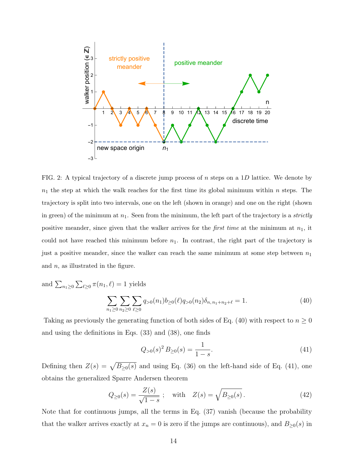

FIG. 2: A typical trajectory of a discrete jump process of  $n$  steps on a 1D lattice. We denote by  $n_1$  the step at which the walk reaches for the first time its global minimum within n steps. The trajectory is split into two intervals, one on the left (shown in orange) and one on the right (shown in green) of the minimum at  $n_1$ . Seen from the minimum, the left part of the trajectory is a *strictly* positive meander, since given that the walker arrives for the *first time* at the minimum at  $n_1$ , it could not have reached this minimum before  $n_1$ . In contrast, the right part of the trajectory is just a positive meander, since the walker can reach the same minimum at some step between  $n_1$ and  $n$ , as illustrated in the figure.

and 
$$
\sum_{n_1 \ge 0} \sum_{\ell \ge 0} \pi(n_1, \ell) = 1
$$
 yields  

$$
\sum_{n_1 \ge 0} \sum_{n_2 \ge 0} \sum_{\ell \ge 0} q_{>0}(n_1) b_{\ge 0}(\ell) q_{>0}(n_2) \delta_{n, n_1 + n_2 + \ell} = 1.
$$
(40)

Taking as previously the generating function of both sides of Eq. (40) with respect to  $n \geq 0$ and using the definitions in Eqs. (33) and (38), one finds

$$
Q_{>0}(s)^2 B_{\geq 0}(s) = \frac{1}{1-s}.\tag{41}
$$

Defining then  $Z(s) = \sqrt{B_{\geq 0}(s)}$  and using Eq. (36) on the left-hand side of Eq. (41), one obtains the generalized Sparre Andersen theorem

$$
Q_{\geq 0}(s) = \frac{Z(s)}{\sqrt{1-s}}; \quad \text{with} \quad Z(s) = \sqrt{B_{\geq 0}(s)}.
$$
 (42)

Note that for continuous jumps, all the terms in Eq. (37) vanish (because the probability that the walker arrives exactly at  $x_n = 0$  is zero if the jumps are continuous), and  $B_{\geq 0}(s)$  in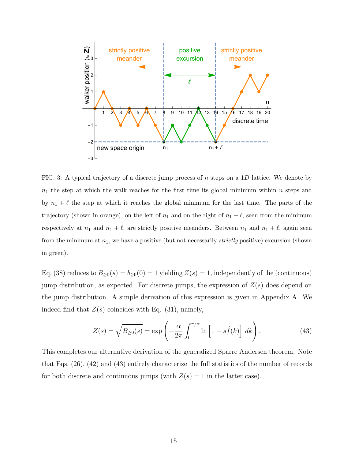

FIG. 3: A typical trajectory of a discrete jump process of  $n$  steps on a 1D lattice. We denote by  $n_1$  the step at which the walk reaches for the first time its global minimum within n steps and by  $n_1 + \ell$  the step at which it reaches the global minimum for the last time. The parts of the trajectory (shown in orange), on the left of  $n_1$  and on the right of  $n_1 + \ell$ , seen from the minimum respectively at  $n_1$  and  $n_1 + \ell$ , are strictly positive meanders. Between  $n_1$  and  $n_1 + \ell$ , again seen from the minimum at  $n_1$ , we have a positive (but not necessarily *strictly* positive) excursion (shown in green).

Eq. (38) reduces to  $B_{\geq 0}(s) = b_{\geq 0}(0) = 1$  yielding  $Z(s) = 1$ , independently of the (continuous) jump distribution, as expected. For discrete jumps, the expression of  $Z(s)$  does depend on the jump distribution. A simple derivation of this expression is given in Appendix A. We indeed find that  $Z(s)$  coincides with Eq. (31), namely,

$$
Z(s) = \sqrt{B_{\geq 0}(s)} = \exp\left(-\frac{\alpha}{2\pi} \int_0^{\pi/\alpha} \ln\left[1 - s\hat{f}(k)\right] dk\right).
$$
 (43)

This completes our alternative derivation of the generalized Sparre Andersen theorem. Note that Eqs. (26), (42) and (43) entirely characterize the full statistics of the number of records for both discrete and continuous jumps (with  $Z(s) = 1$  in the latter case).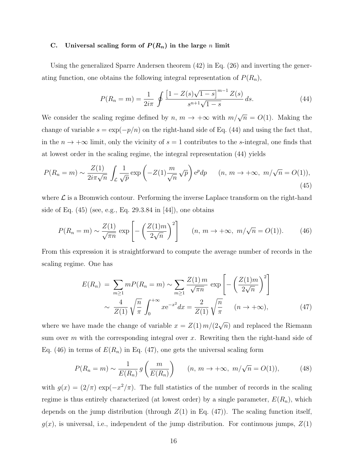#### C. Universal scaling form of  $P(R_n)$  in the large n limit

Using the generalized Sparre Andersen theorem (42) in Eq. (26) and inverting the generating function, one obtains the following integral representation of  $P(R_n)$ ,

$$
P(R_n = m) = \frac{1}{2i\pi} \oint \frac{\left[1 - Z(s)\sqrt{1 - s}\right]^{m-1}Z(s)}{s^{n+1}\sqrt{1 - s}} ds.
$$
 (44)

We consider the scaling regime defined by  $n, m \to +\infty$  with  $m/\sqrt{n} = O(1)$ . Making the change of variable  $s = \exp(-p/n)$  on the right-hand side of Eq. (44) and using the fact that, in the  $n \to +\infty$  limit, only the vicinity of  $s = 1$  contributes to the s-integral, one finds that at lowest order in the scaling regime, the integral representation (44) yields

$$
P(R_n = m) \sim \frac{Z(1)}{2i\pi\sqrt{n}} \int_{\mathcal{L}} \frac{1}{\sqrt{p}} \exp\left(-Z(1)\frac{m}{\sqrt{n}}\sqrt{p}\right) e^p dp \qquad (n, m \to +\infty, m/\sqrt{n} = O(1)),
$$
\n(45)

where  $\mathcal L$  is a Bromwich contour. Performing the inverse Laplace transform on the right-hand side of Eq.  $(45)$  (see, e.g., Eq. 29.3.84 in [44]), one obtains

$$
P(R_n = m) \sim \frac{Z(1)}{\sqrt{\pi n}} \exp\left[-\left(\frac{Z(1)m}{2\sqrt{n}}\right)^2\right] \qquad (n, m \to +\infty, m/\sqrt{n} = O(1)).\tag{46}
$$

From this expression it is straightforward to compute the average number of records in the scaling regime. One has

$$
E(R_n) = \sum_{m \ge 1} mP(R_n = m) \sim \sum_{m \ge 1} \frac{Z(1) m}{\sqrt{\pi n}} \exp\left[ -\left(\frac{Z(1)m}{2\sqrt{n}}\right)^2 \right]
$$
  
 
$$
\sim \frac{4}{Z(1)} \sqrt{\frac{n}{\pi}} \int_0^{+\infty} x e^{-x^2} dx = \frac{2}{Z(1)} \sqrt{\frac{n}{\pi}} \quad (n \to +\infty), \tag{47}
$$

where we have made the change of variable  $x = Z(1) m/(2\sqrt{n})$  and replaced the Riemann sum over m with the corresponding integral over x. Rewriting then the right-hand side of Eq. (46) in terms of  $E(R_n)$  in Eq. (47), one gets the universal scaling form

$$
P(R_n = m) \sim \frac{1}{E(R_n)} g\left(\frac{m}{E(R_n)}\right) \qquad (n, m \to +\infty, m/\sqrt{n} = O(1)), \tag{48}
$$

with  $g(x) = (2/\pi) \exp(-x^2/\pi)$ . The full statistics of the number of records in the scaling regime is thus entirely characterized (at lowest order) by a single parameter,  $E(R_n)$ , which depends on the jump distribution (through  $Z(1)$  in Eq. (47)). The scaling function itself,  $g(x)$ , is universal, i.e., independent of the jump distribution. For continuous jumps,  $Z(1)$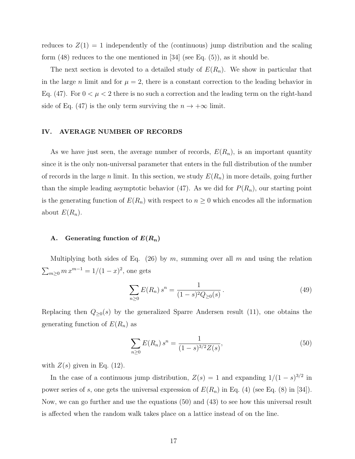reduces to  $Z(1) = 1$  independently of the (continuous) jump distribution and the scaling form  $(48)$  reduces to the one mentioned in [34] (see Eq.  $(5)$ ), as it should be.

The next section is devoted to a detailed study of  $E(R_n)$ . We show in particular that in the large *n* limit and for  $\mu = 2$ , there is a constant correction to the leading behavior in Eq. (47). For  $0 < \mu < 2$  there is no such a correction and the leading term on the right-hand side of Eq. (47) is the only term surviving the  $n \to +\infty$  limit.

# IV. AVERAGE NUMBER OF RECORDS

As we have just seen, the average number of records,  $E(R_n)$ , is an important quantity since it is the only non-universal parameter that enters in the full distribution of the number of records in the large n limit. In this section, we study  $E(R_n)$  in more details, going further than the simple leading asymptotic behavior (47). As we did for  $P(R_n)$ , our starting point is the generating function of  $E(R_n)$  with respect to  $n \geq 0$  which encodes all the information about  $E(R_n)$ .

# A. Generating function of  $E(R_n)$

Multiplying both sides of Eq. (26) by m, summing over all m and using the relation  $\sum_{m\geq 0} m x^{m-1} = 1/(1-x)^2$ , one gets

$$
\sum_{n\geq 0} E(R_n) s^n = \frac{1}{(1-s)^2 Q_{\geq 0}(s)}.
$$
\n(49)

Replacing then  $Q_{\geq 0}(s)$  by the generalized Sparre Andersen result (11), one obtains the generating function of  $E(R_n)$  as

$$
\sum_{n\geq 0} E(R_n) s^n = \frac{1}{(1-s)^{3/2} Z(s)},
$$
\n(50)

with  $Z(s)$  given in Eq. (12).

In the case of a continuous jump distribution,  $Z(s) = 1$  and expanding  $1/(1-s)^{3/2}$  in power series of s, one gets the universal expression of  $E(R_n)$  in Eq. (4) (see Eq. (8) in [34]). Now, we can go further and use the equations (50) and (43) to see how this universal result is affected when the random walk takes place on a lattice instead of on the line.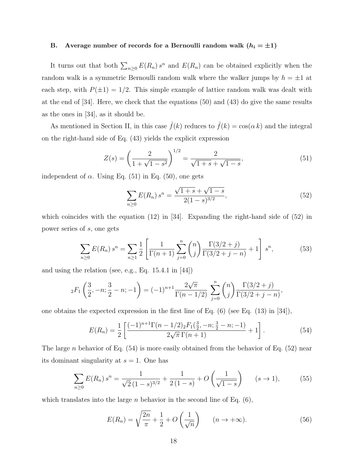# B. Average number of records for a Bernoulli random walk  $(h_i = \pm 1)$

It turns out that both  $\sum_{n\geq 0} E(R_n) s^n$  and  $E(R_n)$  can be obtained explicitly when the random walk is a symmetric Bernoulli random walk where the walker jumps by  $h = \pm 1$  at each step, with  $P(\pm 1) = 1/2$ . This simple example of lattice random walk was dealt with at the end of [34]. Here, we check that the equations (50) and (43) do give the same results as the ones in [34], as it should be.

As mentioned in Section II, in this case  $\hat{f}(k)$  reduces to  $\hat{f}(k) = \cos(\alpha k)$  and the integral on the right-hand side of Eq. (43) yields the explicit expression

$$
Z(s) = \left(\frac{2}{1 + \sqrt{1 - s^2}}\right)^{1/2} = \frac{2}{\sqrt{1 + s} + \sqrt{1 - s}},\tag{51}
$$

independent of  $\alpha$ . Using Eq. (51) in Eq. (50), one gets

$$
\sum_{n\geq 0} E(R_n) s^n = \frac{\sqrt{1+s} + \sqrt{1-s}}{2(1-s)^{3/2}},
$$
\n(52)

which coincides with the equation  $(12)$  in [34]. Expanding the right-hand side of  $(52)$  in power series of s, one gets

$$
\sum_{n\geq 0} E(R_n) s^n = \sum_{n\geq 1} \frac{1}{2} \left[ \frac{1}{\Gamma(n+1)} \sum_{j=0}^n \binom{n}{j} \frac{\Gamma(3/2+j)}{\Gamma(3/2+j-n)} + 1 \right] s^n, \tag{53}
$$

and using the relation (see, e.g., Eq. 15.4.1 in [44])

$$
{}_2F_1\left(\frac{3}{2}, -n; \frac{3}{2} - n; -1\right) = (-1)^{n+1} \frac{2\sqrt{\pi}}{\Gamma(n-1/2)} \sum_{j=0}^n \binom{n}{j} \frac{\Gamma(3/2+j)}{\Gamma(3/2+j-n)},
$$

one obtains the expected expression in the first line of Eq.  $(6)$  (see Eq.  $(13)$  in [34]),

$$
E(R_n) = \frac{1}{2} \left[ \frac{(-1)^{n+1} \Gamma(n - 1/2) {}_{2}F_{1}(\frac{3}{2}, -n; \frac{3}{2} - n; -1)}{2\sqrt{\pi} \Gamma(n + 1)} + 1 \right].
$$
 (54)

The large n behavior of Eq.  $(54)$  is more easily obtained from the behavior of Eq.  $(52)$  near its dominant singularity at  $s = 1$ . One has

$$
\sum_{n\geq 0} E(R_n) s^n = \frac{1}{\sqrt{2}(1-s)^{3/2}} + \frac{1}{2(1-s)} + O\left(\frac{1}{\sqrt{1-s}}\right) \qquad (s \to 1),
$$
 (55)

which translates into the large *n* behavior in the second line of Eq.  $(6)$ ,

$$
E(R_n) = \sqrt{\frac{2n}{\pi}} + \frac{1}{2} + O\left(\frac{1}{\sqrt{n}}\right) \qquad (n \to +\infty).
$$
 (56)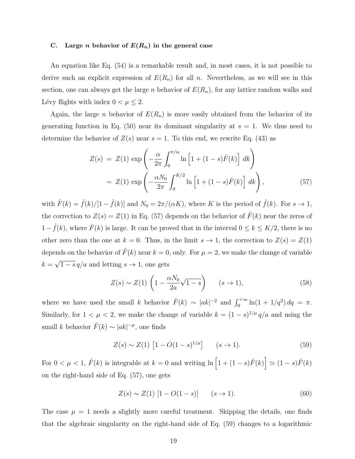#### C. Large *n* behavior of  $E(R_n)$  in the general case

An equation like Eq. (54) is a remarkable result and, in most cases, it is not possible to derive such an explicit expression of  $E(R_n)$  for all n. Nevertheless, as we will see in this section, one can always get the large n behavior of  $E(R_n)$ , for any lattice random walks and Lévy flights with index  $0<\mu\leq 2.$ 

Again, the large *n* behavior of  $E(R_n)$  is more easily obtained from the behavior of its generating function in Eq. (50) near its dominant singularity at  $s = 1$ . We thus need to determine the behavior of  $Z(s)$  near  $s = 1$ . To this end, we rewrite Eq. (43) as

$$
Z(s) = Z(1) \exp\left(-\frac{\alpha}{2\pi} \int_0^{\pi/\alpha} \ln\left[1 + (1-s)\hat{F}(k)\right] dk\right)
$$
  
= 
$$
Z(1) \exp\left(-\frac{\alpha N_0}{2\pi} \int_0^{K/2} \ln\left[1 + (1-s)\hat{F}(k)\right] dk\right),
$$
 (57)

with  $\hat{F}(k) = \hat{f}(k)/[1-\hat{f}(k)]$  and  $N_0 = 2\pi/(\alpha K)$ , where K is the period of  $\hat{f}(k)$ . For  $s \to 1$ , the correction to  $Z(s) = Z(1)$  in Eq. (57) depends on the behavior of  $\hat{F}(k)$  near the zeros of  $1-\hat{f}(k)$ , where  $\hat{F}(k)$  is large. It can be proved that in the interval  $0 \leq k \leq K/2$ , there is no other zero than the one at  $k = 0$ . Thus, in the limit  $s \to 1$ , the correction to  $Z(s) = Z(1)$ depends on the behavior of  $\hat{F}(k)$  near  $k = 0$ , only. For  $\mu = 2$ , we make the change of variable  $k = \sqrt{1 - s} q/a$  and letting  $s \to 1$ , one gets

$$
Z(s) \sim Z(1) \left(1 - \frac{\alpha N_0}{2a} \sqrt{1 - s}\right) \qquad (s \to 1),\tag{58}
$$

where we have used the small k behavior  $\hat{F}(k) \sim |ak|^{-2}$  and  $\int_0^{+\infty} \ln(1 + 1/q^2) dq = \pi$ . Similarly, for  $1 < \mu < 2$ , we make the change of variable  $k = (1 - s)^{1/\mu} q/a$  and using the small k behavior  $\hat{F}(k) \sim |ak|^{-\mu}$ , one finds

$$
Z(s) \sim Z(1) \left[ 1 - O(1 - s)^{1/\mu} \right] \qquad (s \to 1). \tag{59}
$$

For  $0 < \mu < 1$ ,  $\hat{F}(k)$  is integrable at  $k = 0$  and writing  $\ln\left[1 + (1 - s)\hat{F}(k)\right] \simeq (1 - s)\hat{F}(k)$ on the right-hand side of Eq. (57), one gets

$$
Z(s) \sim Z(1) [1 - O(1 - s)] \qquad (s \to 1).
$$
 (60)

The case  $\mu = 1$  needs a slightly more careful treatment. Skipping the details, one finds that the algebraic singularity on the right-hand side of Eq. (59) changes to a logarithmic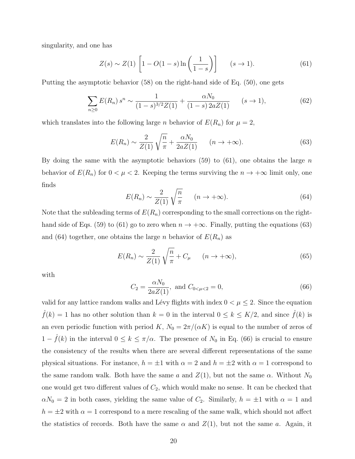singularity, and one has

$$
Z(s) \sim Z(1) \left[ 1 - O(1 - s) \ln \left( \frac{1}{1 - s} \right) \right] \qquad (s \to 1). \tag{61}
$$

Putting the asymptotic behavior (58) on the right-hand side of Eq. (50), one gets

$$
\sum_{n\geq 0} E(R_n) s^n \sim \frac{1}{(1-s)^{3/2} Z(1)} + \frac{\alpha N_0}{(1-s) 2a Z(1)} \qquad (s \to 1),
$$
\n(62)

which translates into the following large *n* behavior of  $E(R_n)$  for  $\mu = 2$ ,

$$
E(R_n) \sim \frac{2}{Z(1)} \sqrt{\frac{n}{\pi}} + \frac{\alpha N_0}{2aZ(1)} \qquad (n \to +\infty).
$$
 (63)

By doing the same with the asymptotic behaviors (59) to (61), one obtains the large  $n$ behavior of  $E(R_n)$  for  $0 < \mu < 2$ . Keeping the terms surviving the  $n \to +\infty$  limit only, one finds

$$
E(R_n) \sim \frac{2}{Z(1)} \sqrt{\frac{n}{\pi}} \qquad (n \to +\infty). \tag{64}
$$

Note that the subleading terms of  $E(R_n)$  corresponding to the small corrections on the righthand side of Eqs. (59) to (61) go to zero when  $n \to +\infty$ . Finally, putting the equations (63) and (64) together, one obtains the large n behavior of  $E(R_n)$  as

$$
E(R_n) \sim \frac{2}{Z(1)} \sqrt{\frac{n}{\pi}} + C_\mu \qquad (n \to +\infty),
$$
\n(65)

with

$$
C_2 = \frac{\alpha N_0}{2aZ(1)}, \text{ and } C_{0<\mu<2} = 0,
$$
\n(66)

valid for any lattice random walks and Lévy flights with index  $0 < \mu \leq 2$ . Since the equation  $\hat{f}(k) = 1$  has no other solution than  $k = 0$  in the interval  $0 \le k \le K/2$ , and since  $\hat{f}(k)$  is an even periodic function with period K,  $N_0 = 2\pi/(\alpha K)$  is equal to the number of zeros of  $1 - f(k)$  in the interval  $0 \le k \le \pi/\alpha$ . The presence of  $N_0$  in Eq. (66) is crucial to ensure the consistency of the results when there are several different representations of the same physical situations. For instance,  $h = \pm 1$  with  $\alpha = 2$  and  $h = \pm 2$  with  $\alpha = 1$  correspond to the same random walk. Both have the same a and  $Z(1)$ , but not the same  $\alpha$ . Without  $N_0$ one would get two different values of  $C_2$ , which would make no sense. It can be checked that  $\alpha N_0 = 2$  in both cases, yielding the same value of  $C_2$ . Similarly,  $h = \pm 1$  with  $\alpha = 1$  and  $h = \pm 2$  with  $\alpha = 1$  correspond to a mere rescaling of the same walk, which should not affect the statistics of records. Both have the same  $\alpha$  and  $Z(1)$ , but not the same a. Again, it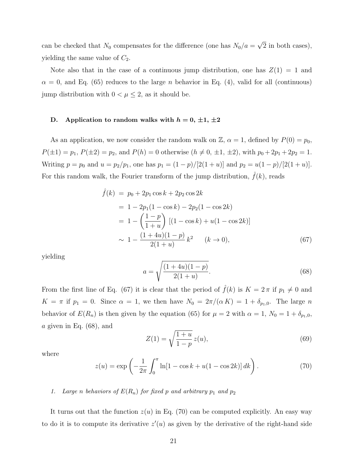can be checked that  $N_0$  compensates for the difference (one has  $N_0/a = \sqrt{2}$  in both cases), yielding the same value of  $C_2$ .

Note also that in the case of a continuous jump distribution, one has  $Z(1) = 1$  and  $\alpha = 0$ , and Eq. (65) reduces to the large *n* behavior in Eq. (4), valid for all (continuous) jump distribution with  $0<\mu\leq 2,$  as it should be.

# D. Application to random walks with  $h = 0, \pm 1, \pm 2$

As an application, we now consider the random walk on  $\mathbb{Z}$ ,  $\alpha = 1$ , defined by  $P(0) = p_0$ ,  $P(\pm 1) = p_1, P(\pm 2) = p_2$ , and  $P(h) = 0$  otherwise  $(h \neq 0, \pm 1, \pm 2)$ , with  $p_0 + 2p_1 + 2p_2 = 1$ . Writing  $p = p_0$  and  $u = p_2/p_1$ , one has  $p_1 = (1 - p)/[2(1 + u)]$  and  $p_2 = u(1 - p)/[2(1 + u)]$ . For this random walk, the Fourier transform of the jump distribution,  $f(k)$ , reads

$$
\hat{f}(k) = p_0 + 2p_1 \cos k + 2p_2 \cos 2k
$$
  
= 1 - 2p<sub>1</sub>(1 - cos k) - 2p<sub>2</sub>(1 - cos 2k)  
= 1 -  $\left(\frac{1-p}{1+u}\right)$  [(1 - cos k) + u(1 - cos 2k)]  
 $\sim 1 - \frac{(1+4u)(1-p)}{2(1+u)}k^2$  (k \to 0), (67)

yielding

$$
a = \sqrt{\frac{(1+4u)(1-p)}{2(1+u)}}.\t(68)
$$

From the first line of Eq. (67) it is clear that the period of  $\hat{f}(k)$  is  $K = 2\pi$  if  $p_1 \neq 0$  and  $K = \pi$  if  $p_1 = 0$ . Since  $\alpha = 1$ , we then have  $N_0 = 2\pi/(\alpha K) = 1 + \delta_{p_1,0}$ . The large n behavior of  $E(R_n)$  is then given by the equation (65) for  $\mu = 2$  with  $\alpha = 1$ ,  $N_0 = 1 + \delta_{p_1,0}$ ,  $a$  given in Eq.  $(68)$ , and

$$
Z(1) = \sqrt{\frac{1+u}{1-p}} z(u),
$$
\n(69)

where

$$
z(u) = \exp\left(-\frac{1}{2\pi} \int_0^\pi \ln[1 - \cos k + u(1 - \cos 2k)] \, dk\right). \tag{70}
$$

# 1. Large n behaviors of  $E(R_n)$  for fixed p and arbitrary  $p_1$  and  $p_2$

It turns out that the function  $z(u)$  in Eq. (70) can be computed explicitly. An easy way to do it is to compute its derivative  $z'(u)$  as given by the derivative of the right-hand side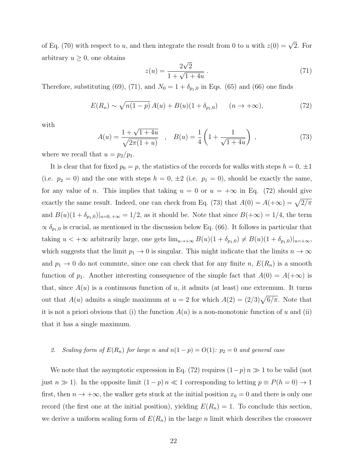of Eq. (70) with respect to u, and then integrate the result from 0 to u with  $z(0) = \sqrt{2}$ . For arbitrary  $u \geq 0$ , one obtains

$$
z(u) = \frac{2\sqrt{2}}{1 + \sqrt{1 + 4u}}.
$$
\n(71)

Therefore, substituting (69), (71), and  $N_0 = 1 + \delta_{p_1,0}$  in Eqs. (65) and (66) one finds

$$
E(R_n) \sim \sqrt{n(1-p)} A(u) + B(u)(1+\delta_{p_1,0}) \qquad (n \to +\infty),
$$
 (72)

with

$$
A(u) = \frac{1 + \sqrt{1 + 4u}}{\sqrt{2\pi(1 + u)}} \quad , \quad B(u) = \frac{1}{4} \left( 1 + \frac{1}{\sqrt{1 + 4u}} \right) \quad , \tag{73}
$$

where we recall that  $u = p_2/p_1$ .

It is clear that for fixed  $p_0 = p$ , the statistics of the records for walks with steps  $h = 0, \pm 1$ (i.e.  $p_2 = 0$ ) and the one with steps  $h = 0, \pm 2$  (i.e.  $p_1 = 0$ ), should be exactly the same, for any value of *n*. This implies that taking  $u = 0$  or  $u = +\infty$  in Eq. (72) should give exactly the same result. Indeed, one can check from Eq. (73) that  $A(0) = A(+\infty) = \sqrt{2/\pi}$ and  $B(u)(1 + \delta_{p_1,0})|_{u=0,+\infty} = 1/2$ , as it should be. Note that since  $B(+\infty) = 1/4$ , the term  $\propto \delta_{p_1,0}$  is crucial, as mentioned in the discussion below Eq. (66). It follows in particular that taking  $u < +\infty$  arbitrarily large, one gets  $\lim_{u\to+\infty} B(u)(1+\delta_{p_1,0}) \neq B(u)(1+\delta_{p_1,0})|_{u=+\infty}$ , which suggests that the limit  $p_1 \to 0$  is singular. This might indicate that the limits  $n \to \infty$ and  $p_1 \to 0$  do not commute, since one can check that for any finite n,  $E(R_n)$  is a smooth function of  $p_1$ . Another interesting consequence of the simple fact that  $A(0) = A(+\infty)$  is that, since  $A(u)$  is a continuous function of u, it admits (at least) one extremum. It turns out that  $A(u)$  admits a single maximum at  $u = 2$  for which  $A(2) = (2/3)\sqrt{6/\pi}$ . Note that it is not a priori obvious that (i) the function  $A(u)$  is a non-monotonic function of u and (ii) that it has a single maximum.

# 2. Scaling form of  $E(R_n)$  for large n and  $n(1-p) = O(1)$ :  $p_2 = 0$  and general case

We note that the asymptotic expression in Eq. (72) requires  $(1-p)n \gg 1$  to be valid (not just  $n \gg 1$ ). In the opposite limit  $(1 - p) n \ll 1$  corresponding to letting  $p \equiv P(h = 0) \rightarrow 1$ first, then  $n \to +\infty$ , the walker gets stuck at the initial position  $x_0 = 0$  and there is only one record (the first one at the initial position), yielding  $E(R_n) = 1$ . To conclude this section, we derive a uniform scaling form of  $E(R_n)$  in the large n limit which describes the crossover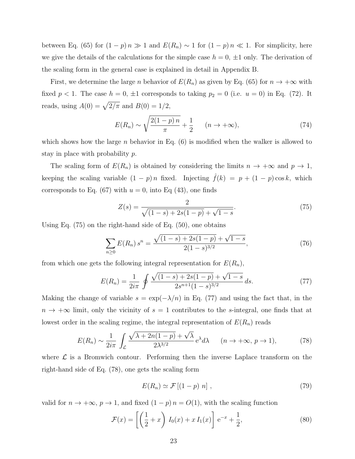between Eq. (65) for  $(1 - p)n \gg 1$  and  $E(R_n) \sim 1$  for  $(1 - p)n \ll 1$ . For simplicity, here we give the details of the calculations for the simple case  $h = 0, \pm 1$  only. The derivation of the scaling form in the general case is explained in detail in Appendix B.

First, we determine the large n behavior of  $E(R_n)$  as given by Eq. (65) for  $n \to +\infty$  with fixed  $p < 1$ . The case  $h = 0, \pm 1$  corresponds to taking  $p_2 = 0$  (i.e.  $u = 0$ ) in Eq. (72). It reads, using  $A(0) = \sqrt{2/\pi}$  and  $B(0) = 1/2$ ,

$$
E(R_n) \sim \sqrt{\frac{2(1-p)\,n}{\pi}} + \frac{1}{2} \qquad (n \to +\infty),\tag{74}
$$

which shows how the large n behavior in Eq.  $(6)$  is modified when the walker is allowed to stay in place with probability p.

The scaling form of  $E(R_n)$  is obtained by considering the limits  $n \to +\infty$  and  $p \to 1$ , keeping the scaling variable  $(1 - p)n$  fixed. Injecting  $\hat{f}(k) = p + (1 - p)\cos k$ , which corresponds to Eq. (67) with  $u = 0$ , into Eq. (43), one finds

$$
Z(s) = \frac{2}{\sqrt{(1-s) + 2s(1-p)} + \sqrt{1-s}}.\tag{75}
$$

Using Eq. (75) on the right-hand side of Eq. (50), one obtains

$$
\sum_{n\geq 0} E(R_n) s^n = \frac{\sqrt{(1-s) + 2s(1-p)} + \sqrt{1-s}}{2(1-s)^{3/2}},\tag{76}
$$

from which one gets the following integral representation for  $E(R_n)$ ,

$$
E(R_n) = \frac{1}{2i\pi} \oint \frac{\sqrt{(1-s) + 2s(1-p)} + \sqrt{1-s}}{2s^{n+1}(1-s)^{3/2}} ds.
$$
 (77)

Making the change of variable  $s = \exp(-\lambda/n)$  in Eq. (77) and using the fact that, in the  $n \to +\infty$  limit, only the vicinity of  $s = 1$  contributes to the s-integral, one finds that at lowest order in the scaling regime, the integral representation of  $E(R_n)$  reads

$$
E(R_n) \sim \frac{1}{2i\pi} \int_{\mathcal{L}} \frac{\sqrt{\lambda + 2n(1-p)} + \sqrt{\lambda}}{2\lambda^{3/2}} e^{\lambda} d\lambda \qquad (n \to +\infty, p \to 1),
$$
 (78)

where  $\mathcal L$  is a Bromwich contour. Performing then the inverse Laplace transform on the right-hand side of Eq. (78), one gets the scaling form

$$
E(R_n) \simeq \mathcal{F}[(1-p) n], \qquad (79)
$$

valid for  $n \to +\infty$ ,  $p \to 1$ , and fixed  $(1 - p)n = O(1)$ , with the scaling function

$$
\mathcal{F}(x) = \left[ \left( \frac{1}{2} + x \right) I_0(x) + x I_1(x) \right] e^{-x} + \frac{1}{2}, \tag{80}
$$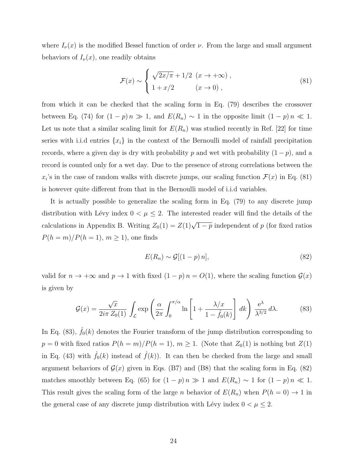where  $I_{\nu}(x)$  is the modified Bessel function of order  $\nu$ . From the large and small argument behaviors of  $I_{\nu}(x)$ , one readily obtains

$$
\mathcal{F}(x) \sim \begin{cases} \sqrt{2x/\pi} + 1/2 & (x \to +\infty), \\ 1 + x/2 & (x \to 0), \end{cases}
$$
\n(81)

from which it can be checked that the scaling form in Eq. (79) describes the crossover between Eq. (74) for  $(1 - p)n \gg 1$ , and  $E(R_n) \sim 1$  in the opposite limit  $(1 - p)n \ll 1$ . Let us note that a similar scaling limit for  $E(R_n)$  was studied recently in Ref. [22] for time series with i.i.d entries  $\{x_i\}$  in the context of the Bernoulli model of rainfall precipitation records, where a given day is dry with probability p and wet with probability  $(1 - p)$ , and a record is counted only for a wet day. Due to the presence of strong correlations between the  $x_i$ 's in the case of random walks with discrete jumps, our scaling function  $\mathcal{F}(x)$  in Eq. (81) is however quite different from that in the Bernoulli model of i.i.d variables.

It is actually possible to generalize the scaling form in Eq. (79) to any discrete jump distribution with Lévy index  $0 < \mu \leq 2$ . The interested reader will find the details of the calculations in Appendix B. Writing  $Z_0(1) = Z(1)\sqrt{1-p}$  independent of p (for fixed ratios  $P(h = m)/P(h = 1), m \ge 1$ , one finds

$$
E(R_n) \sim \mathcal{G}[(1-p)\,n],\tag{82}
$$

valid for  $n \to +\infty$  and  $p \to 1$  with fixed  $(1 - p) n = O(1)$ , where the scaling function  $\mathcal{G}(x)$ is given by

$$
\mathcal{G}(x) = \frac{\sqrt{x}}{2i\pi Z_0(1)} \int_{\mathcal{L}} \exp\left(\frac{\alpha}{2\pi} \int_0^{\pi/\alpha} \ln\left[1 + \frac{\lambda/x}{1 - \hat{f}_0(k)}\right] dk\right) \frac{e^{\lambda}}{\lambda^{3/2}} d\lambda.
$$
 (83)

In Eq. (83),  $\hat{f}_0(k)$  denotes the Fourier transform of the jump distribution corresponding to  $p = 0$  with fixed ratios  $P(h = m)/P(h = 1)$ ,  $m \ge 1$ . (Note that  $Z_0(1)$  is nothing but  $Z(1)$ ) in Eq. (43) with  $\hat{f}_0(k)$  instead of  $\hat{f}(k)$ ). It can then be checked from the large and small argument behaviors of  $\mathcal{G}(x)$  given in Eqs. (B7) and (B8) that the scaling form in Eq. (82) matches smoothly between Eq. (65) for  $(1 - p)n \gg 1$  and  $E(R_n) \sim 1$  for  $(1 - p)n \ll 1$ . This result gives the scaling form of the large n behavior of  $E(R_n)$  when  $P(h = 0) \rightarrow 1$  in the general case of any discrete jump distribution with Lévy index  $0 < \mu \leq 2$ .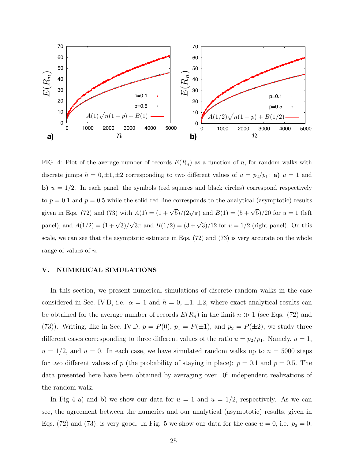

FIG. 4: Plot of the average number of records  $E(R_n)$  as a function of n, for random walks with discrete jumps  $h = 0, \pm 1, \pm 2$  corresponding to two different values of  $u = p_2/p_1$ : **a**)  $u = 1$  and b)  $u = 1/2$ . In each panel, the symbols (red squares and black circles) correspond respectively to  $p = 0.1$  and  $p = 0.5$  while the solid red line corresponds to the analytical (asymptotic) results given in Eqs. (72) and (73) with  $A(1) = (1 + \sqrt{5})/(2\sqrt{\pi})$  and  $B(1) = (5 + \sqrt{5})/20$  for  $u = 1$  (left panel), and  $A(1/2) = (1 + \sqrt{3})/\sqrt{3\pi}$  and  $B(1/2) = (3 + \sqrt{3})/12$  for  $u = 1/2$  (right panel). On this scale, we can see that the asymptotic estimate in Eqs. (72) and (73) is very accurate on the whole range of values of n.

# V. NUMERICAL SIMULATIONS

In this section, we present numerical simulations of discrete random walks in the case considered in Sec. IV D, i.e.  $\alpha = 1$  and  $h = 0, \pm 1, \pm 2$ , where exact analytical results can be obtained for the average number of records  $E(R_n)$  in the limit  $n \gg 1$  (see Eqs. (72) and (73)). Writing, like in Sec. IV D,  $p = P(0)$ ,  $p_1 = P(\pm 1)$ , and  $p_2 = P(\pm 2)$ , we study three different cases corresponding to three different values of the ratio  $u = p_2/p_1$ . Namely,  $u = 1$ ,  $u = 1/2$ , and  $u = 0$ . In each case, we have simulated random walks up to  $n = 5000$  steps for two different values of p (the probability of staying in place):  $p = 0.1$  and  $p = 0.5$ . The data presented here have been obtained by averaging over  $10^5$  independent realizations of the random walk.

In Fig 4 a) and b) we show our data for  $u = 1$  and  $u = 1/2$ , respectively. As we can see, the agreement between the numerics and our analytical (asymptotic) results, given in Eqs. (72) and (73), is very good. In Fig. 5 we show our data for the case  $u = 0$ , i.e.  $p_2 = 0$ .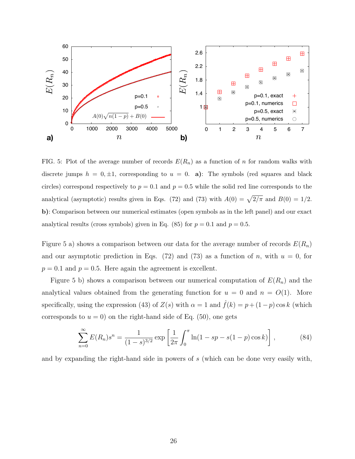

FIG. 5: Plot of the average number of records  $E(R_n)$  as a function of n for random walks with discrete jumps  $h = 0, \pm 1$ , corresponding to  $u = 0$ . **a**): The symbols (red squares and black circles) correspond respectively to  $p = 0.1$  and  $p = 0.5$  while the solid red line corresponds to the analytical (asymptotic) results given in Eqs. (72) and (73) with  $A(0) = \sqrt{2/\pi}$  and  $B(0) = 1/2$ . b): Comparison between our numerical estimates (open symbols as in the left panel) and our exact analytical results (cross symbols) given in Eq. (85) for  $p = 0.1$  and  $p = 0.5$ .

Figure 5 a) shows a comparison between our data for the average number of records  $E(R_n)$ and our asymptotic prediction in Eqs. (72) and (73) as a function of n, with  $u = 0$ , for  $p = 0.1$  and  $p = 0.5$ . Here again the agreement is excellent.

Figure 5 b) shows a comparison between our numerical computation of  $E(R_n)$  and the analytical values obtained from the generating function for  $u = 0$  and  $n = O(1)$ . More specifically, using the expression (43) of  $Z(s)$  with  $\alpha = 1$  and  $\hat{f}(k) = p + (1-p) \cos k$  (which corresponds to  $u = 0$ ) on the right-hand side of Eq. (50), one gets

$$
\sum_{n=0}^{\infty} E(R_n) s^n = \frac{1}{(1-s)^{3/2}} \exp\left[\frac{1}{2\pi} \int_0^{\pi} \ln(1 - sp - s(1-p)\cos k)\right],
$$
 (84)

and by expanding the right-hand side in powers of s (which can be done very easily with,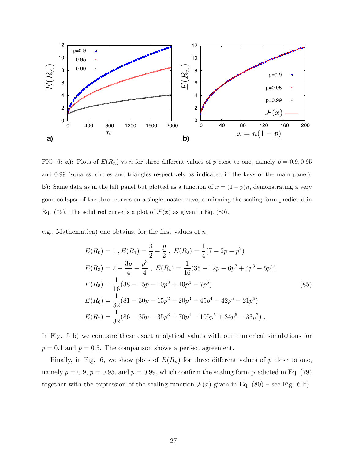

FIG. 6: a): Plots of  $E(R_n)$  vs n for three different values of p close to one, namely  $p = 0.9, 0.95$ and 0.99 (squares, circles and triangles respectively as indicated in the keys of the main panel). b): Same data as in the left panel but plotted as a function of  $x = (1 - p)n$ , demonstrating a very good collapse of the three curves on a single master cuve, confirming the scaling form predicted in Eq. (79). The solid red curve is a plot of  $\mathcal{F}(x)$  as given in Eq. (80).

e.g., Mathematica) one obtains, for the first values of  $n$ ,

$$
E(R_0) = 1, E(R_1) = \frac{3}{2} - \frac{p}{2}, E(R_2) = \frac{1}{4}(7 - 2p - p^2)
$$
  
\n
$$
E(R_3) = 2 - \frac{3p}{4} - \frac{p^3}{4}, E(R_4) = \frac{1}{16}(35 - 12p - 6p^2 + 4p^3 - 5p^4)
$$
  
\n
$$
E(R_5) = \frac{1}{16}(38 - 15p - 10p^3 + 10p^4 - 7p^5)
$$
  
\n
$$
E(R_6) = \frac{1}{32}(81 - 30p - 15p^2 + 20p^3 - 45p^4 + 42p^5 - 21p^6)
$$
  
\n
$$
E(R_7) = \frac{1}{32}(86 - 35p - 35p^3 + 70p^4 - 105p^5 + 84p^6 - 33p^7).
$$
 (85)

In Fig. 5 b) we compare these exact analytical values with our numerical simulations for  $p = 0.1$  and  $p = 0.5$ . The comparison shows a perfect agreement.

Finally, in Fig. 6, we show plots of  $E(R_n)$  for three different values of p close to one, namely  $p = 0.9$ ,  $p = 0.95$ , and  $p = 0.99$ , which confirm the scaling form predicted in Eq. (79) together with the expression of the scaling function  $\mathcal{F}(x)$  given in Eq. (80) – see Fig. 6 b).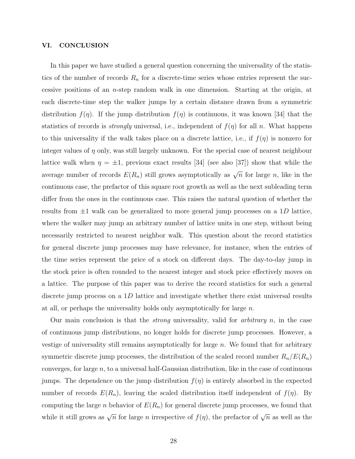# VI. CONCLUSION

In this paper we have studied a general question concerning the universality of the statistics of the number of records  $R_n$  for a discrete-time series whose entries represent the successive positions of an n-step random walk in one dimension. Starting at the origin, at each discrete-time step the walker jumps by a certain distance drawn from a symmetric distribution  $f(\eta)$ . If the jump distribution  $f(\eta)$  is continuous, it was known [34] that the statistics of records is *strongly* universal, i.e., independent of  $f(\eta)$  for all n. What happens to this universality if the walk takes place on a discrete lattice, i.e., if  $f(\eta)$  is nonzero for integer values of  $\eta$  only, was still largely unknown. For the special case of nearest neighbour lattice walk when  $\eta = \pm 1$ , previous exact results [34] (see also [37]) show that while the average number of records  $E(R_n)$  still grows asymptotically as  $\sqrt{n}$  for large n, like in the continuous case, the prefactor of this square root growth as well as the next subleading term differ from the ones in the continuous case. This raises the natural question of whether the results from  $\pm 1$  walk can be generalized to more general jump processes on a 1D lattice, where the walker may jump an arbitrary number of lattice units in one step, without being necessarily restricted to nearest neighbor walk. This question about the record statistics for general discrete jump processes may have relevance, for instance, when the entries of the time series represent the price of a stock on different days. The day-to-day jump in the stock price is often rounded to the nearest integer and stock price effectively moves on a lattice. The purpose of this paper was to derive the record statistics for such a general discrete jump process on a  $1D$  lattice and investigate whether there exist universal results at all, or perhaps the universality holds only asymptotically for large  $n$ .

Our main conclusion is that the *strong* universality, valid for *arbitrary n*, in the case of continuous jump distributions, no longer holds for discrete jump processes. However, a vestige of universality still remains asymptotically for large  $n$ . We found that for arbitrary symmetric discrete jump processes, the distribution of the scaled record number  $R_n/E(R_n)$ converges, for large  $n$ , to a universal half-Gaussian distribution, like in the case of continuous jumps. The dependence on the jump distribution  $f(\eta)$  is entirely absorbed in the expected number of records  $E(R_n)$ , leaving the scaled distribution itself independent of  $f(\eta)$ . By computing the large *n* behavior of  $E(R_n)$  for general discrete jump processes, we found that while it still grows as  $\sqrt{n}$  for large *n* irrespective of  $f(\eta)$ , the prefactor of  $\sqrt{n}$  as well as the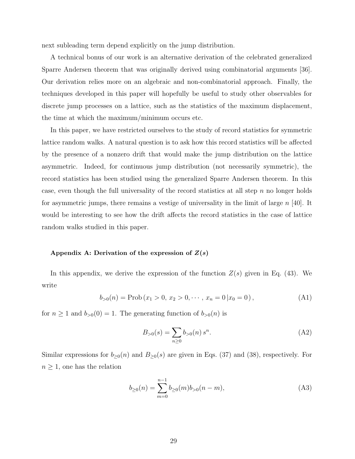next subleading term depend explicitly on the jump distribution.

A technical bonus of our work is an alternative derivation of the celebrated generalized Sparre Andersen theorem that was originally derived using combinatorial arguments [36]. Our derivation relies more on an algebraic and non-combinatorial approach. Finally, the techniques developed in this paper will hopefully be useful to study other observables for discrete jump processes on a lattice, such as the statistics of the maximum displacement, the time at which the maximum/minimum occurs etc.

In this paper, we have restricted ourselves to the study of record statistics for symmetric lattice random walks. A natural question is to ask how this record statistics will be affected by the presence of a nonzero drift that would make the jump distribution on the lattice asymmetric. Indeed, for continuous jump distribution (not necessarily symmetric), the record statistics has been studied using the generalized Sparre Andersen theorem. In this case, even though the full universality of the record statistics at all step  $n$  no longer holds for asymmetric jumps, there remains a vestige of universality in the limit of large  $n$  [40]. It would be interesting to see how the drift affects the record statistics in the case of lattice random walks studied in this paper.

#### Appendix A: Derivation of the expression of  $Z(s)$

In this appendix, we derive the expression of the function  $Z(s)$  given in Eq. (43). We write

$$
b_{>0}(n) = \text{Prob}(x_1 > 0, x_2 > 0, \cdots, x_n = 0 | x_0 = 0), \tag{A1}
$$

for  $n \ge 1$  and  $b_{>0}(0) = 1$ . The generating function of  $b_{>0}(n)$  is

$$
B_{>0}(s) = \sum_{n\geq 0} b_{>0}(n) s^n.
$$
 (A2)

Similar expressions for  $b_{\geq 0}(n)$  and  $B_{\geq 0}(s)$  are given in Eqs. (37) and (38), respectively. For  $n \geq 1$ , one has the relation

$$
b_{\geq 0}(n) = \sum_{m=0}^{n-1} b_{\geq 0}(m) b_{>0}(n-m),
$$
\n(A3)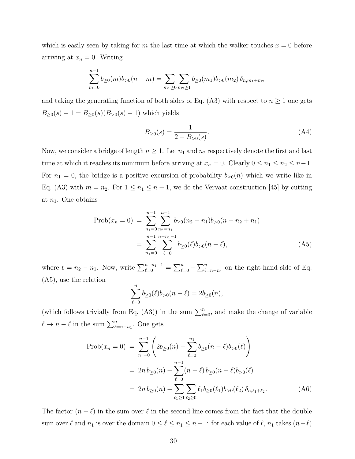which is easily seen by taking for m the last time at which the walker touches  $x = 0$  before arriving at  $x_n = 0$ . Writing

$$
\sum_{m=0}^{n-1} b_{\geq 0}(m) b_{>0}(n-m) = \sum_{m_1 \geq 0} \sum_{m_2 \geq 1} b_{\geq 0}(m_1) b_{>0}(m_2) \, \delta_{n,m_1+m_2}
$$

and taking the generating function of both sides of Eq. (A3) with respect to  $n \geq 1$  one gets  $B_{\geq 0}(s) - 1 = B_{\geq 0}(s)(B_{>0}(s) - 1)$  which yields

$$
B_{\geq 0}(s) = \frac{1}{2 - B_{>0}(s)}.\tag{A4}
$$

Now, we consider a bridge of length  $n \geq 1$ . Let  $n_1$  and  $n_2$  respectively denote the first and last time at which it reaches its minimum before arriving at  $x_n = 0$ . Clearly  $0 \le n_1 \le n_2 \le n-1$ . For  $n_1 = 0$ , the bridge is a positive excursion of probability  $b_{\geq 0}(n)$  which we write like in Eq. (A3) with  $m = n_2$ . For  $1 \leq n_1 \leq n-1$ , we do the Vervaat construction [45] by cutting at  $n_1$ . One obtains

$$
\text{Prob}(x_n = 0) = \sum_{n_1=0}^{n-1} \sum_{n_2=n_1}^{n-1} b_{\geq 0} (n_2 - n_1) b_{>0} (n - n_2 + n_1)
$$

$$
= \sum_{n_1=0}^{n-1} \sum_{\ell=0}^{n-n_1-1} b_{\geq 0} (\ell) b_{>0} (n - \ell), \tag{A5}
$$

where  $\ell = n_2 - n_1$ . Now, write  $\sum_{\ell=0}^{n-n_1-1} = \sum_{\ell=0}^{n} -\sum_{\ell=n-n_1}^{n}$  on the right-hand side of Eq. (A5), use the relation

$$
\sum_{\ell=0}^n b_{\geq 0}(\ell)b_{>0}(n-\ell) = 2b_{\geq 0}(n),
$$

(which follows trivially from Eq. (A3)) in the sum  $\sum_{\ell=0}^{n}$ , and make the change of variable  $\ell \to n - \ell$  in the sum  $\sum_{\ell=n-n_1}^n$ . One gets

$$
\text{Prob}(x_n = 0) = \sum_{n_1=0}^{n-1} \left( 2b_{\geq 0}(n) - \sum_{\ell=0}^{n_1} b_{\geq 0}(n-\ell)b_{>0}(\ell) \right)
$$
  
=  $2n b_{\geq 0}(n) - \sum_{\ell=0}^{n-1} (n-\ell) b_{\geq 0}(n-\ell)b_{>0}(\ell)$   
=  $2n b_{\geq 0}(n) - \sum_{\ell_1 \geq 1} \sum_{\ell_2 \geq 0} \ell_1 b_{\geq 0}(\ell_1) b_{>0}(\ell_2) \delta_{n,\ell_1+\ell_2}.$  (A6)

The factor  $(n - \ell)$  in the sum over  $\ell$  in the second line comes from the fact that the double sum over  $\ell$  and  $n_1$  is over the domain  $0 \le \ell \le n_1 \le n-1$ : for each value of  $\ell$ ,  $n_1$  takes  $(n-\ell)$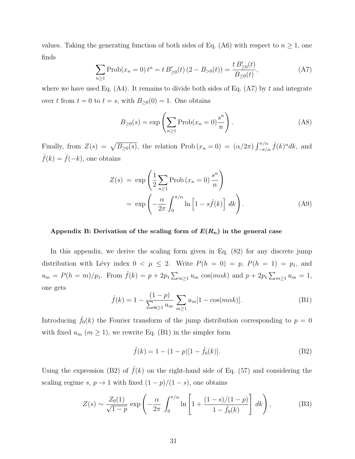values. Taking the generating function of both sides of Eq. (A6) with respect to  $n \geq 1$ , one finds  $\langle t \rangle$ 

$$
\sum_{n\geq 1} \text{Prob}(x_n = 0) t^n = t B'_{\geq 0}(t) (2 - B_{>0}(t)) = \frac{t B'_{\geq 0}(t)}{B_{\geq 0}(t)},
$$
\n(A7)

where we have used Eq.  $(A4)$ . It remains to divide both sides of Eq.  $(A7)$  by t and integrate over t from  $t = 0$  to  $t = s$ , with  $B_{\geq 0}(0) = 1$ . One obtains

$$
B_{\geq 0}(s) = \exp\left(\sum_{n\geq 1} \text{Prob}(x_n = 0) \frac{s^n}{n}\right). \tag{A8}
$$

Finally, from  $Z(s) = \sqrt{B_{\geq 0}(s)}$ , the relation Prob  $(x_n = 0) = (\alpha/2\pi) \int_{-\pi/\alpha}^{\pi/\alpha} \hat{f}(k)^n dk$ , and  $\hat{f}(k) = \hat{f}(-k)$ , one obtains

$$
Z(s) = \exp\left(\frac{1}{2}\sum_{n\geq 1} \text{Prob}\left(x_n = 0\right) \frac{s^n}{n}\right)
$$
  
= 
$$
\exp\left(-\frac{\alpha}{2\pi} \int_0^{\pi/\alpha} \ln\left[1 - s\hat{f}(k)\right] dk\right).
$$
 (A9)

# Appendix B: Derivation of the scaling form of  $E(R_n)$  in the general case

In this appendix, we derive the scaling form given in Eq.  $(82)$  for any discrete jump distribution with Lévy index  $0 < \mu \leq 2$ . Write  $P(h = 0) = p$ ,  $P(h = 1) = p_1$ , and  $u_m = P(h = m)/p_1$ . From  $\hat{f}(k) = p + 2p_1 \sum_{m \geq 1} u_m \cos(m \alpha k)$  and  $p + 2p_1 \sum_{m \geq 1} u_m = 1$ , one gets

$$
\hat{f}(k) = 1 - \frac{(1-p)}{\sum_{m\geq 1} u_m} \sum_{m\geq 1} u_m [1 - \cos(m\alpha k)].
$$
\n(B1)

Introducing  $\hat{f}_0(k)$  the Fourier transform of the jump distribution corresponding to  $p = 0$ with fixed  $u_m$   $(m \ge 1)$ , we rewrite Eq. (B1) in the simpler form

$$
\hat{f}(k) = 1 - (1 - p)[1 - \hat{f}_0(k)].
$$
\n(B2)

Using the expression (B2) of  $\hat{f}(k)$  on the right-hand side of Eq. (57) and considering the scaling regime s,  $p \to 1$  with fixed  $(1 - p)/(1 - s)$ , one obtains

$$
Z(s) \sim \frac{Z_0(1)}{\sqrt{1-p}} \exp\left(-\frac{\alpha}{2\pi} \int_0^{\pi/\alpha} \ln\left[1 + \frac{(1-s)/(1-p)}{1-\hat{f}_0(k)}\right] dk\right),
$$
 (B3)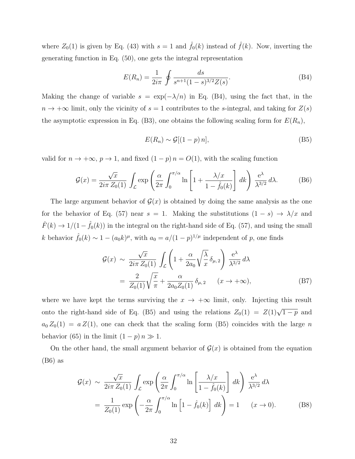where  $Z_0(1)$  is given by Eq. (43) with  $s = 1$  and  $\hat{f}_0(k)$  instead of  $\hat{f}(k)$ . Now, inverting the generating function in Eq. (50), one gets the integral representation

$$
E(R_n) = \frac{1}{2i\pi} \oint \frac{ds}{s^{n+1}(1-s)^{3/2}Z(s)}.
$$
 (B4)

Making the change of variable  $s = \exp(-\lambda/n)$  in Eq. (B4), using the fact that, in the  $n \to +\infty$  limit, only the vicinity of  $s = 1$  contributes to the s-integral, and taking for  $Z(s)$ the asymptotic expression in Eq. (B3), one obtains the following scaling form for  $E(R_n)$ ,

$$
E(R_n) \sim \mathcal{G}[(1-p)\,n],\tag{B5}
$$

valid for  $n \to +\infty$ ,  $p \to 1$ , and fixed  $(1 - p)n = O(1)$ , with the scaling function

$$
\mathcal{G}(x) = \frac{\sqrt{x}}{2i\pi Z_0(1)} \int_{\mathcal{L}} \exp\left(\frac{\alpha}{2\pi} \int_0^{\pi/\alpha} \ln\left[1 + \frac{\lambda/x}{1 - \hat{f}_0(k)}\right] dk\right) \frac{e^{\lambda}}{\lambda^{3/2}} d\lambda.
$$
 (B6)

The large argument behavior of  $\mathcal{G}(x)$  is obtained by doing the same analysis as the one for the behavior of Eq. (57) near  $s = 1$ . Making the substitutions  $(1 - s) \rightarrow \lambda/x$  and  $\hat{F}(k) \rightarrow 1/(1-\hat{f}_0(k))$  in the integral on the right-hand side of Eq. (57), and using the small k behavior  $\hat{f}_0(k) \sim 1 - (a_0 k)^{\mu}$ , with  $a_0 = a/(1-p)^{1/\mu}$  independent of p, one finds

$$
\mathcal{G}(x) \sim \frac{\sqrt{x}}{2i\pi Z_0(1)} \int_{\mathcal{L}} \left( 1 + \frac{\alpha}{2a_0} \sqrt{\frac{\lambda}{x}} \delta_{\mu,2} \right) \frac{e^{\lambda}}{\lambda^{3/2}} d\lambda
$$

$$
= \frac{2}{Z_0(1)} \sqrt{\frac{x}{\pi}} + \frac{\alpha}{2a_0 Z_0(1)} \delta_{\mu,2} \qquad (x \to +\infty), \tag{B7}
$$

where we have kept the terms surviving the  $x \to +\infty$  limit, only. Injecting this result onto the right-hand side of Eq. (B5) and using the relations  $Z_0(1) = Z(1)\sqrt{1-p}$  and  $a_0 Z_0(1) = a Z(1)$ , one can check that the scaling form (B5) coincides with the large n behavior (65) in the limit  $(1 - p)n \gg 1$ .

On the other hand, the small argument behavior of  $\mathcal{G}(x)$  is obtained from the equation (B6) as

$$
\mathcal{G}(x) \sim \frac{\sqrt{x}}{2i\pi Z_0(1)} \int_{\mathcal{L}} \exp\left(\frac{\alpha}{2\pi} \int_0^{\pi/\alpha} \ln\left[\frac{\lambda/x}{1-\hat{f}_0(k)}\right] dk\right) \frac{e^{\lambda}}{\lambda^{3/2}} d\lambda
$$

$$
= \frac{1}{Z_0(1)} \exp\left(-\frac{\alpha}{2\pi} \int_0^{\pi/\alpha} \ln\left[1-\hat{f}_0(k)\right] dk\right) = 1 \quad (x \to 0). \tag{B8}
$$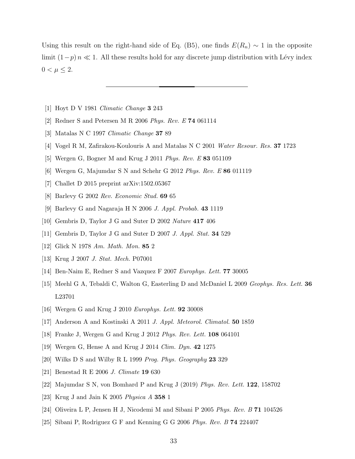Using this result on the right-hand side of Eq. (B5), one finds  $E(R_n) \sim 1$  in the opposite limit  $(1-p) n \ll 1$ . All these results hold for any discrete jump distribution with Lévy index  $0 < \mu \leq 2.$ 

- [1] Hoyt D V 1981 Climatic Change 3 243
- [2] Redner S and Petersen M R 2006 Phys. Rev. E 74 061114
- [3] Matalas N C 1997 Climatic Change 37 89
- [4] Vogel R M, Zafirakou-Koulouris A and Matalas N C 2001 Water Resour. Res. 37 1723
- [5] Wergen G, Bogner M and Krug J 2011 Phys. Rev. E 83 051109
- [6] Wergen G, Majumdar S N and Schehr G 2012 Phys. Rev. E 86 011119
- [7] Challet D 2015 preprint arXiv:1502.05367
- [8] Barlevy G 2002 Rev. Economic Stud. 69 65
- [9] Barlevy G and Nagaraja H N 2006 J. Appl. Probab. 43 1119
- [10] Gembris D, Taylor J G and Suter D 2002 Nature 417 406
- [11] Gembris D, Taylor J G and Suter D 2007 J. Appl. Stat. 34 529
- [12] Glick N 1978 Am. Math. Mon. 85 2
- [13] Krug J 2007 J. Stat. Mech. P07001
- [14] Ben-Naim E, Redner S and Vazquez F 2007 Europhys. Lett. 77 30005
- [15] Meehl G A, Tebaldi C, Walton G, Easterling D and McDaniel L 2009 Geophys. Res. Lett. 36 L23701
- [16] Wergen G and Krug J 2010 Europhys. Lett. **92** 30008
- [17] Anderson A and Kostinski A 2011 J. Appl. Meteorol. Climatol. **50** 1859
- [18] Franke J, Wergen G and Krug J 2012 Phys. Rev. Lett. 108 064101
- [19] Wergen G, Hense A and Krug J 2014 Clim. Dyn. 42 1275
- [20] Wilks D S and Wilby R L 1999 Prog. Phys. Geography 23 329
- [21] Benestad R E 2006 J. Climate 19 630
- [22] Majumdar S N, von Bomhard P and Krug J (2019) Phys. Rev. Lett. 122, 158702
- [23] Krug J and Jain K 2005 *Physica A* **358** 1
- [24] Oliveira L P, Jensen H J, Nicodemi M and Sibani P 2005 Phys. Rev. B 71 104526
- [25] Sibani P, Rodriguez G F and Kenning G G 2006 Phys. Rev. B 74 224407